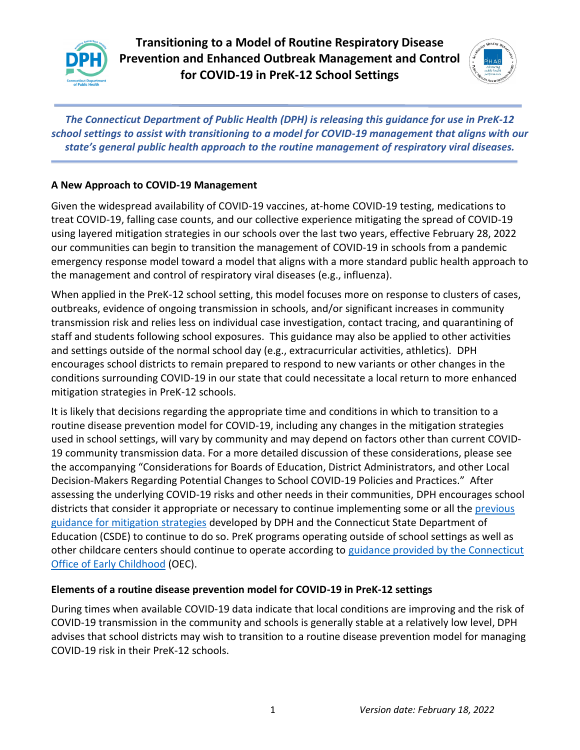

**Transitioning to a Model of Routine Respiratory Disease Prevention and Enhanced Outbreak Management and Control for COVID-19 in PreK-12 School Settings**



*The Connecticut Department of Public Health (DPH) is releasing this guidance for use in PreK-12 school settings to assist with transitioning to a model for COVID-19 management that aligns with our state's general public health approach to the routine management of respiratory viral diseases.* 

## **A New Approach to COVID-19 Management**

Given the widespread availability of COVID-19 vaccines, at-home COVID-19 testing, medications to treat COVID-19, falling case counts, and our collective experience mitigating the spread of COVID-19 using layered mitigation strategies in our schools over the last two years, effective February 28, 2022 our communities can begin to transition the management of COVID-19 in schools from a pandemic emergency response model toward a model that aligns with a more standard public health approach to the management and control of respiratory viral diseases (e.g., influenza).

When applied in the PreK-12 school setting, this model focuses more on response to clusters of cases, outbreaks, evidence of ongoing transmission in schools, and/or significant increases in community transmission risk and relies less on individual case investigation, contact tracing, and quarantining of staff and students following school exposures. This guidance may also be applied to other activities and settings outside of the normal school day (e.g., extracurricular activities, athletics). DPH encourages school districts to remain prepared to respond to new variants or other changes in the conditions surrounding COVID-19 in our state that could necessitate a local return to more enhanced mitigation strategies in PreK-12 schools.

It is likely that decisions regarding the appropriate time and conditions in which to transition to a routine disease prevention model for COVID-19, including any changes in the mitigation strategies used in school settings, will vary by community and may depend on factors other than current COVID-19 community transmission data. For a more detailed discussion of these considerations, please see the accompanying "Considerations for Boards of Education, District Administrators, and other Local Decision-Makers Regarding Potential Changes to School COVID-19 Policies and Practices." After assessing the underlying COVID-19 risks and other needs in their communities, DPH encourages school districts that consider it appropriate or necessary to continue implementing some or all the [previous](https://portal.ct.gov/SDE/COVID19/COVID-19-Resources-for-Families-and-Educators/Addendums-and-FAQs)  guidance for [mitigation strategies](https://portal.ct.gov/SDE/COVID19/COVID-19-Resources-for-Families-and-Educators/Addendums-and-FAQs) developed by DPH and the Connecticut State Department of Education (CSDE) to continue to do so. PreK programs operating outside of school settings as well as other childcare centers should continue to operate according to [guidance provided by the Connecticut](https://www.ctoec.org/covid-19/)  [Office of Early Childhood](https://www.ctoec.org/covid-19/) (OEC).

## **Elements of a routine disease prevention model for COVID-19 in PreK-12 settings**

During times when available COVID-19 data indicate that local conditions are improving and the risk of COVID-19 transmission in the community and schools is generally stable at a relatively low level, DPH advises that school districts may wish to transition to a routine disease prevention model for managing COVID-19 risk in their PreK-12 schools.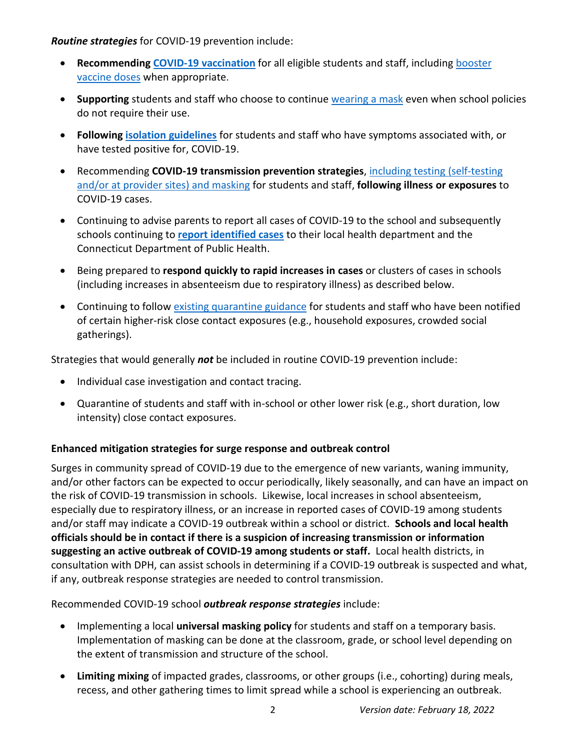*Routine strategies* for COVID-19 prevention include:

- **Recommending [COVID-19 vaccination](https://portal.ct.gov/-/media/Departments-and-Agencies/DPH/dph/infectious_diseases/immunization/CoVP-Materials/COVID-Vaccines--A-Toolkit-for-Connecticut-Schools-Vax2SchoolCT.pdf)** for all eligible students and staff, including [booster](https://www.cdc.gov/coronavirus/2019-ncov/vaccines/booster-shot.html)  [vaccine doses](https://www.cdc.gov/coronavirus/2019-ncov/vaccines/booster-shot.html) when appropriate.
- **Supporting** students and staff who choose to continue [wearing a mask](https://www.cdc.gov/coronavirus/2019-ncov/community/schools-childcare/k-12-guidance.html) even when school policies do not require their use.
- **Following [isolation guidelines](https://www.cdc.gov/coronavirus/2019-ncov/community/schools-childcare/k-12-contact-tracing/about-isolation.html)** for students and staff who have symptoms associated with, or have tested positive for, COVID-19.
- Recommending **COVID-19 transmission prevention strategies**, [including testing \(self-testing](https://www.cdc.gov/coronavirus/2019-ncov/community/schools-childcare/k-12-guidance.html#staying-home)  [and/or at provider sites\) and masking](https://www.cdc.gov/coronavirus/2019-ncov/community/schools-childcare/k-12-guidance.html#staying-home) for students and staff, **following illness or exposures** to COVID-19 cases.
- Continuing to advise parents to report all cases of COVID-19 to the school and subsequently schools continuing to **[report identified cases](https://dphsubmissions.ct.gov/)** to their local health department and the Connecticut Department of Public Health.
- Being prepared to **respond quickly to rapid increases in cases** or clusters of cases in schools (including increases in absenteeism due to respiratory illness) as described below.
- Continuing to follow [existing quarantine guidance](https://portal.ct.gov/-/media/SDE/Digest/2021-22/School-Contact-Tracing_Quarantine_Update_12312021.pdf) for students and staff who have been notified of certain higher-risk close contact exposures (e.g., household exposures, crowded social gatherings).

Strategies that would generally *not* be included in routine COVID-19 prevention include:

- Individual case investigation and contact tracing.
- Quarantine of students and staff with in-school or other lower risk (e.g., short duration, low intensity) close contact exposures.

## **Enhanced mitigation strategies for surge response and outbreak control**

Surges in community spread of COVID-19 due to the emergence of new variants, waning immunity, and/or other factors can be expected to occur periodically, likely seasonally, and can have an impact on the risk of COVID-19 transmission in schools. Likewise, local increases in school absenteeism, especially due to respiratory illness, or an increase in reported cases of COVID-19 among students and/or staff may indicate a COVID-19 outbreak within a school or district. **Schools and local health officials should be in contact if there is a suspicion of increasing transmission or information suggesting an active outbreak of COVID-19 among students or staff.** Local health districts, in consultation with DPH, can assist schools in determining if a COVID-19 outbreak is suspected and what, if any, outbreak response strategies are needed to control transmission.

Recommended COVID-19 school *outbreak response strategies* include:

- Implementing a local **universal masking policy** for students and staff on a temporary basis. Implementation of masking can be done at the classroom, grade, or school level depending on the extent of transmission and structure of the school.
- **Limiting mixing** of impacted grades, classrooms, or other groups (i.e., cohorting) during meals, recess, and other gathering times to limit spread while a school is experiencing an outbreak.